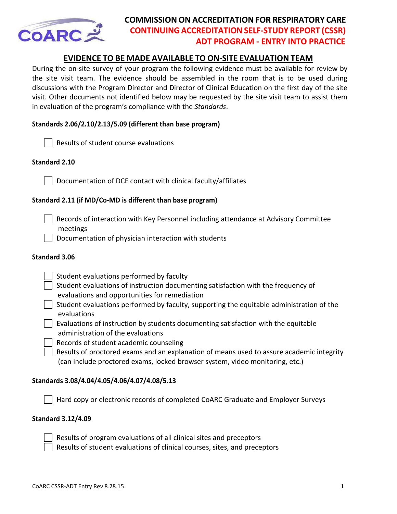

# **COMMISSION ON ACCREDITATION FOR RESPIRATORY CARE CONTINUING ACCREDITATIONSELF‐STUDY REPORT (CSSR) ADT PROGRAM - ENTRY INTO PRACTICE**

# **EVIDENCE TO BE MADE AVAILABLE TO ON‐SITE EVALUATION TEAM**

During the on‐site survey of your program the following evidence must be available for review by the site visit team. The evidence should be assembled in the room that is to be used during discussions with the Program Director and Director of Clinical Education on the first day of the site visit. Other documents not identified below may be requested by the site visit team to assist them in evaluation of the program's compliance with the *Standards*.

# **Standards 2.06/2.10/2.13/5.09 (different than base program)**

|  | $\Box$ Results of student course evaluations |
|--|----------------------------------------------|
|--|----------------------------------------------|

## **Standard 2.10**

Documentation of DCE contact with clinical faculty/affiliates

# **Standard 2.11 (if MD/Co-MD is different than base program)**

 Records of interaction with Key Personnel including attendance at Advisory Committee meetings

Documentation of physician interaction with students

### **Standard 3.06**

- Student evaluations performed by faculty
- Student evaluations of instruction documenting satisfaction with the frequency of evaluations and opportunities for remediation
- $\vert\ \vert$  Student evaluations performed by faculty, supporting the equitable administration of the evaluations
- Evaluations of instruction by students documenting satisfaction with the equitable administration of the evaluations
	- Records of student academic counseling
	- Results of proctored exams and an explanation of means used to assure academic integrity (can include proctored exams, locked browser system, video monitoring, etc.)

# **Standards 3.08/4.04/4.05/4.06/4.07/4.08/5.13**

Hard copy or electronic records of completed CoARC Graduate and Employer Surveys

#### **Standard 3.12/4.09**



Results of program evaluations of all clinical sites and preceptors

Results of student evaluations of clinical courses, sites, and preceptors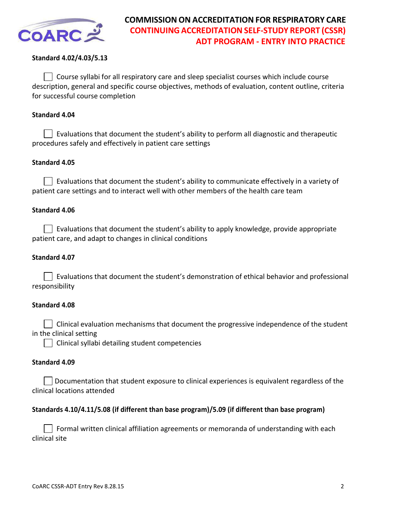

# **Standard 4.02/4.03/5.13**

 $\vert\ \vert$  Course syllabi for all respiratory care and sleep specialist courses which include course description, general and specific course objectives, methods of evaluation, content outline, criteria for successful course completion

## **Standard 4.04**

 $\Box$  Evaluations that document the student's ability to perform all diagnostic and therapeutic procedures safely and effectively in patient care settings

## **Standard 4.05**

 $\vert\ \ \vert$  Evaluations that document the student's ability to communicate effectively in a variety of patient care settings and to interact well with other members of the health care team

## **Standard 4.06**

 $\vert\ \vert$  Evaluations that document the student's ability to apply knowledge, provide appropriate patient care, and adapt to changes in clinical conditions

## **Standard 4.07**

 $\Box$  Evaluations that document the student's demonstration of ethical behavior and professional responsibility

#### **Standard 4.08**

 $\vert\ \ \vert$  Clinical evaluation mechanisms that document the progressive independence of the student in the clinical setting

Clinical syllabi detailing student competencies

#### **Standard 4.09**

Documentation that student exposure to clinical experiences is equivalent regardless of the clinical locations attended

#### **Standards 4.10/4.11/5.08 (if different than base program)/5.09 (if different than base program)**

 Formal written clinical affiliation agreements or memoranda of understanding with each clinical site